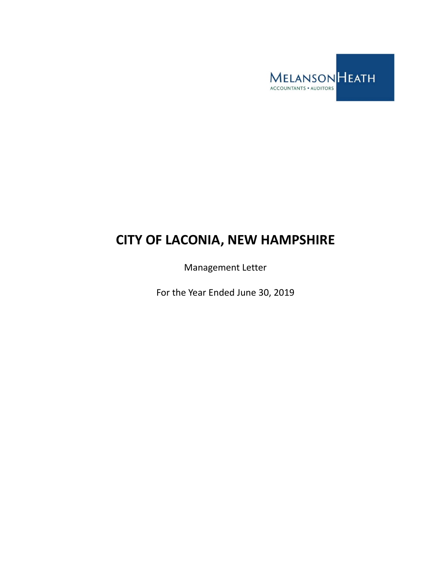

# **CITY OF LACONIA, NEW HAMPSHIRE**

Management Letter

For the Year Ended June 30, 2019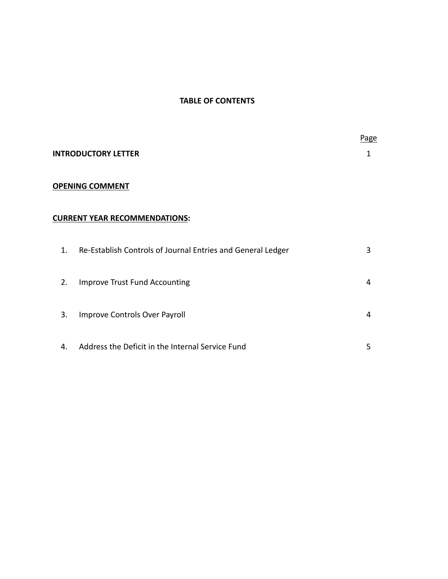# **TABLE OF CONTENTS**

|                        |                                                             | Page |
|------------------------|-------------------------------------------------------------|------|
|                        | <b>INTRODUCTORY LETTER</b>                                  | 1    |
| <b>OPENING COMMENT</b> |                                                             |      |
|                        | <b>CURRENT YEAR RECOMMENDATIONS:</b>                        |      |
| $\mathbf{1}$ .         | Re-Establish Controls of Journal Entries and General Ledger | 3    |
| 2.                     | <b>Improve Trust Fund Accounting</b>                        | 4    |
| 3.                     | Improve Controls Over Payroll                               | 4    |
| 4.                     | Address the Deficit in the Internal Service Fund            | 5    |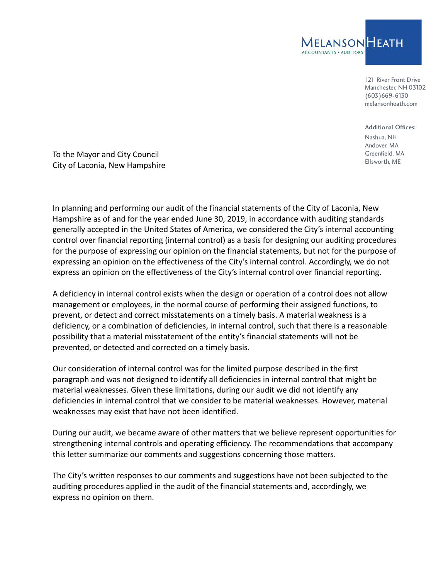

121 River Front Drive Manchester, NH 03102 (603)669-6130 melansonheath.com

Additional Offices:

Nashua, NH Andover, MA Greenfield, MA Ellsworth, ME

To the Mayor and City Council City of Laconia, New Hampshire

In planning and performing our audit of the financial statements of the City of Laconia, New Hampshire as of and for the year ended June 30, 2019, in accordance with auditing standards generally accepted in the United States of America, we considered the City's internal accounting control over financial reporting (internal control) as a basis for designing our auditing procedures for the purpose of expressing our opinion on the financial statements, but not for the purpose of expressing an opinion on the effectiveness of the City's internal control. Accordingly, we do not express an opinion on the effectiveness of the City's internal control over financial reporting.

A deficiency in internal control exists when the design or operation of a control does not allow management or employees, in the normal course of performing their assigned functions, to prevent, or detect and correct misstatements on a timely basis. A material weakness is a deficiency, or a combination of deficiencies, in internal control, such that there is a reasonable possibility that a material misstatement of the entity's financial statements will not be prevented, or detected and corrected on a timely basis.

Our consideration of internal control was for the limited purpose described in the first paragraph and was not designed to identify all deficiencies in internal control that might be material weaknesses. Given these limitations, during our audit we did not identify any deficiencies in internal control that we consider to be material weaknesses. However, material weaknesses may exist that have not been identified.

During our audit, we became aware of other matters that we believe represent opportunities for strengthening internal controls and operating efficiency. The recommendations that accompany this letter summarize our comments and suggestions concerning those matters.

The City's written responses to our comments and suggestions have not been subjected to the auditing procedures applied in the audit of the financial statements and, accordingly, we express no opinion on them.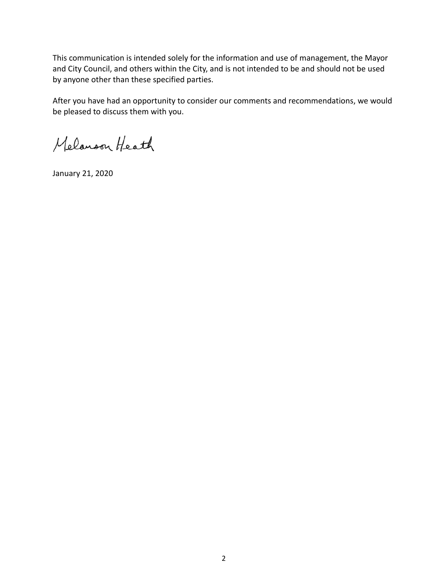This communication is intended solely for the information and use of management, the Mayor and City Council, and others within the City, and is not intended to be and should not be used by anyone other than these specified parties.

After you have had an opportunity to consider our comments and recommendations, we would be pleased to discuss them with you.

Melanson Heath

January 21, 2020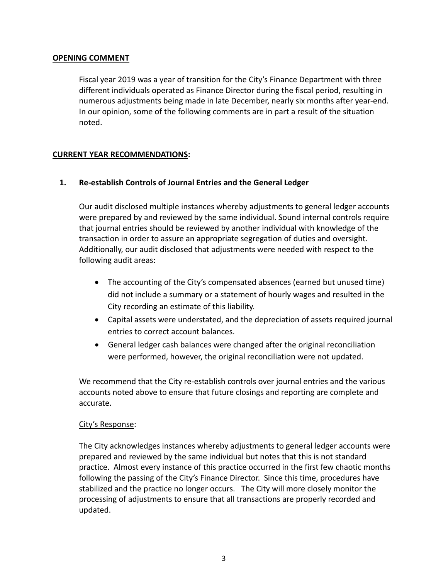#### **OPENING COMMENT**

Fiscal year 2019 was a year of transition for the City's Finance Department with three different individuals operated as Finance Director during the fiscal period, resulting in numerous adjustments being made in late December, nearly six months after year‐end. In our opinion, some of the following comments are in part a result of the situation noted.

# **CURRENT YEAR RECOMMENDATIONS:**

# **1. Re‐establish Controls of Journal Entries and the General Ledger**

Our audit disclosed multiple instances whereby adjustments to general ledger accounts were prepared by and reviewed by the same individual. Sound internal controls require that journal entries should be reviewed by another individual with knowledge of the transaction in order to assure an appropriate segregation of duties and oversight. Additionally, our audit disclosed that adjustments were needed with respect to the following audit areas:

- The accounting of the City's compensated absences (earned but unused time) did not include a summary or a statement of hourly wages and resulted in the City recording an estimate of this liability.
- Capital assets were understated, and the depreciation of assets required journal entries to correct account balances.
- General ledger cash balances were changed after the original reconciliation were performed, however, the original reconciliation were not updated.

We recommend that the City re-establish controls over journal entries and the various accounts noted above to ensure that future closings and reporting are complete and accurate.

#### City's Response:

The City acknowledges instances whereby adjustments to general ledger accounts were prepared and reviewed by the same individual but notes that this is not standard practice. Almost every instance of this practice occurred in the first few chaotic months following the passing of the City's Finance Director. Since this time, procedures have stabilized and the practice no longer occurs. The City will more closely monitor the processing of adjustments to ensure that all transactions are properly recorded and updated.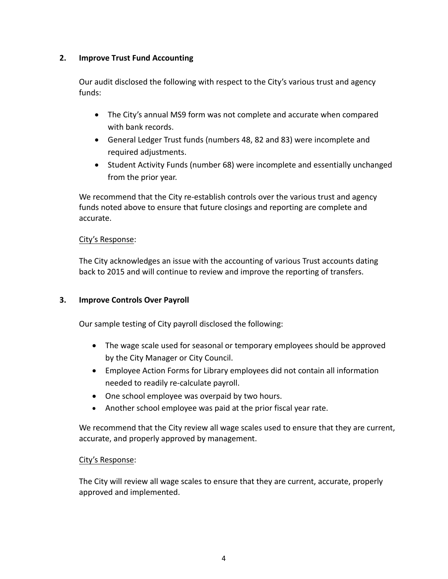# **2. Improve Trust Fund Accounting**

Our audit disclosed the following with respect to the City's various trust and agency funds:

- The City's annual MS9 form was not complete and accurate when compared with bank records.
- General Ledger Trust funds (numbers 48, 82 and 83) were incomplete and required adjustments.
- Student Activity Funds (number 68) were incomplete and essentially unchanged from the prior year.

We recommend that the City re-establish controls over the various trust and agency funds noted above to ensure that future closings and reporting are complete and accurate.

# City's Response:

The City acknowledges an issue with the accounting of various Trust accounts dating back to 2015 and will continue to review and improve the reporting of transfers.

# **3. Improve Controls Over Payroll**

Our sample testing of City payroll disclosed the following:

- The wage scale used for seasonal or temporary employees should be approved by the City Manager or City Council.
- Employee Action Forms for Library employees did not contain all information needed to readily re‐calculate payroll.
- One school employee was overpaid by two hours.
- Another school employee was paid at the prior fiscal year rate.

We recommend that the City review all wage scales used to ensure that they are current, accurate, and properly approved by management.

# City's Response:

The City will review all wage scales to ensure that they are current, accurate, properly approved and implemented.